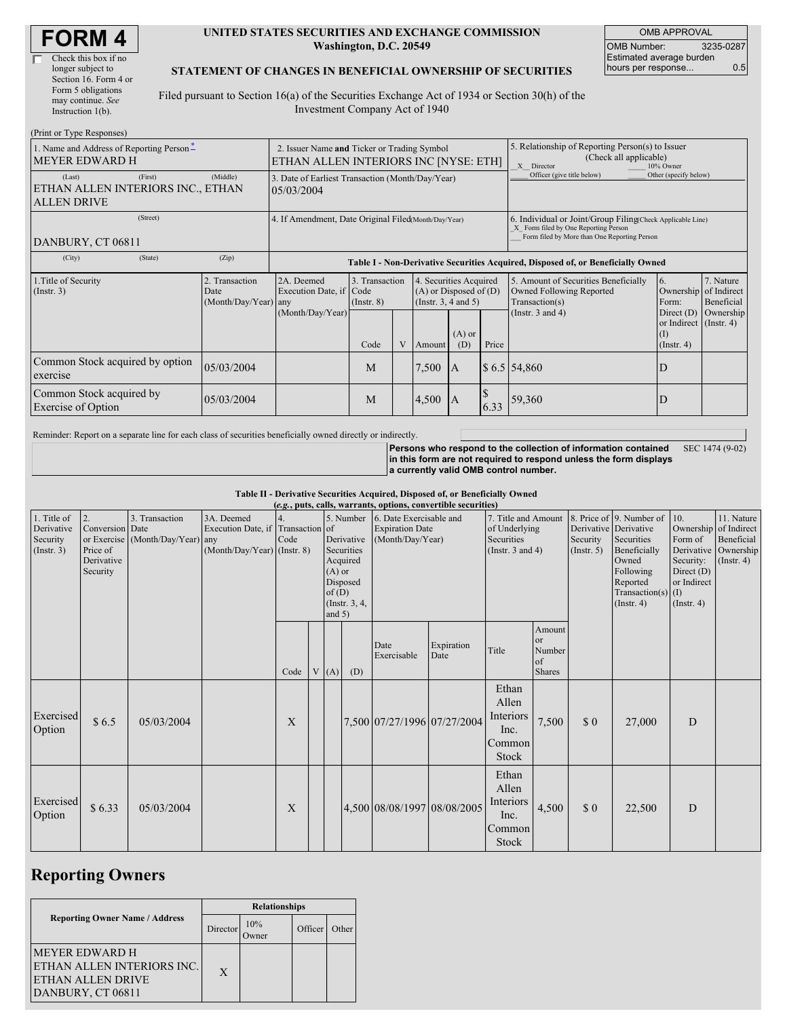| Check this box if no  |
|-----------------------|
| longer subject to     |
| Section 16. Form 4 or |
| Form 5 obligations    |
| may continue. See     |
| Instruction 1(b).     |
|                       |

#### **UNITED STATES SECURITIES AND EXCHANGE COMMISSION Washington, D.C. 20549**

OMB APPROVAL OMB Number: 3235-0287 Estimated average burden hours per response... 0.5

### **STATEMENT OF CHANGES IN BENEFICIAL OWNERSHIP OF SECURITIES**

Filed pursuant to Section 16(a) of the Securities Exchange Act of 1934 or Section 30(h) of the Investment Company Act of 1940

| (Print or Type Responses)                                                    |                                                                                      |                                                                |                                   |   |                                                                              |                 |                                                                                                       |                                                                                                                                                    |                                                                       |                         |  |
|------------------------------------------------------------------------------|--------------------------------------------------------------------------------------|----------------------------------------------------------------|-----------------------------------|---|------------------------------------------------------------------------------|-----------------|-------------------------------------------------------------------------------------------------------|----------------------------------------------------------------------------------------------------------------------------------------------------|-----------------------------------------------------------------------|-------------------------|--|
| 1. Name and Address of Reporting Person-<br><b>MEYER EDWARD H</b>            | 2. Issuer Name and Ticker or Trading Symbol<br>ETHAN ALLEN INTERIORS INC INYSE: ETHI |                                                                |                                   |   |                                                                              |                 | 5. Relationship of Reporting Person(s) to Issuer<br>(Check all applicable)<br>X Director<br>10% Owner |                                                                                                                                                    |                                                                       |                         |  |
| (First)<br>(Last)<br>ETHAN ALLEN INTERIORS INC., ETHAN<br><b>ALLEN DRIVE</b> | (Middle)                                                                             | 3. Date of Earliest Transaction (Month/Day/Year)<br>05/03/2004 |                                   |   |                                                                              |                 |                                                                                                       | Officer (give title below)                                                                                                                         | Other (specify below)                                                 |                         |  |
| (Street)<br>DANBURY, CT 06811                                                |                                                                                      | 4. If Amendment, Date Original Filed(Month/Day/Year)           |                                   |   |                                                                              |                 |                                                                                                       | 6. Individual or Joint/Group Filing Check Applicable Line)<br>X Form filed by One Reporting Person<br>Form filed by More than One Reporting Person |                                                                       |                         |  |
| (State)<br>(City)                                                            | (Zip)                                                                                |                                                                |                                   |   |                                                                              |                 |                                                                                                       | Table I - Non-Derivative Securities Acquired, Disposed of, or Beneficially Owned                                                                   |                                                                       |                         |  |
| 1. Title of Security<br>$($ Instr. 3 $)$                                     | 2. Transaction<br>Date<br>(Month/Day/Year) any                                       | 2A. Deemed<br>Execution Date, if Code                          | 3. Transaction<br>$($ Instr. $8)$ |   | 4. Securities Acquired<br>$(A)$ or Disposed of $(D)$<br>(Insert. 3, 4 and 5) |                 |                                                                                                       | 5. Amount of Securities Beneficially<br>Owned Following Reported<br>Transaction(s)                                                                 | 6.<br>Ownership of Indirect<br>Form:                                  | 7. Nature<br>Beneficial |  |
|                                                                              |                                                                                      | (Month/Day/Year)                                               | Code                              | V | Amount                                                                       | $(A)$ or<br>(D) | Price                                                                                                 | (Instr. $3$ and $4$ )                                                                                                                              | Direct (D)<br>or Indirect $($ Instr. 4 $)$<br>(1)<br>$($ Instr. 4 $)$ | Ownership               |  |
| Common Stock acquired by option<br>exercise                                  | 05/03/2004                                                                           |                                                                | M                                 |   | 7,500                                                                        | IA.             |                                                                                                       | \$6.5 54,860                                                                                                                                       | D                                                                     |                         |  |
| Common Stock acquired by<br><b>Exercise of Option</b>                        | 05/03/2004                                                                           |                                                                | M                                 |   | 4,500                                                                        | 1A              | 6.33                                                                                                  | 59,360                                                                                                                                             | D                                                                     |                         |  |

Reminder: Report on a separate line for each class of securities beneficially owned directly or indirectly.

**Persons who respond to the collection of information contained in this form are not required to respond unless the form displays a currently valid OMB control number.** SEC 1474 (9-02)

**Table II - Derivative Securities Acquired, Disposed of, or Beneficially Owned**

| (e.g., puts, calls, warrants, options, convertible securities) |                  |                                  |                             |      |                |                                   |                        |                                              |               |                       |                       |             |                                  |                  |                      |
|----------------------------------------------------------------|------------------|----------------------------------|-----------------------------|------|----------------|-----------------------------------|------------------------|----------------------------------------------|---------------|-----------------------|-----------------------|-------------|----------------------------------|------------------|----------------------|
| 1. Title of                                                    | $\vert 2. \vert$ | 3. Transaction                   | 3A. Deemed                  |      |                | 5. Number 6. Date Exercisable and |                        | 7. Title and Amount 8. Price of 9. Number of |               |                       |                       | 10.         | 11. Nature                       |                  |                      |
| Derivative                                                     | Conversion Date  |                                  | Execution Date, if          |      | Transaction of |                                   | <b>Expiration Date</b> |                                              | of Underlying |                       | Derivative Derivative |             | Ownership of Indirect            |                  |                      |
| Security                                                       |                  | or Exercise (Month/Day/Year) any |                             | Code |                |                                   | Derivative             | (Month/Day/Year)                             |               | Securities            |                       | Security    | Securities                       | Form of          | Beneficial           |
| (Insert. 3)                                                    | Price of         |                                  | (Month/Day/Year) (Instr. 8) |      |                |                                   | Securities             |                                              |               | (Instr. $3$ and $4$ ) |                       | (Insert. 5) | Beneficially                     |                  | Derivative Ownership |
|                                                                | Derivative       |                                  |                             |      |                |                                   | Acquired               |                                              |               |                       |                       |             | Owned                            | Security:        | $($ Instr. 4 $)$     |
|                                                                | Security         |                                  |                             |      |                | $(A)$ or                          |                        |                                              |               |                       |                       |             | Following                        | Direct $(D)$     |                      |
|                                                                |                  |                                  |                             |      |                | of(D)                             | Disposed               |                                              |               |                       |                       |             | Reported<br>Transaction(s) $(I)$ | or Indirect      |                      |
|                                                                |                  |                                  |                             |      |                |                                   | $($ Instr. 3, 4,       |                                              |               |                       |                       |             | $($ Instr. 4 $)$                 | $($ Instr. 4 $)$ |                      |
|                                                                |                  |                                  |                             |      |                | and $5)$                          |                        |                                              |               |                       |                       |             |                                  |                  |                      |
|                                                                |                  |                                  |                             |      |                |                                   |                        |                                              |               |                       | Amount                |             |                                  |                  |                      |
|                                                                |                  |                                  |                             |      |                |                                   |                        | Date                                         | Expiration    |                       | or                    |             |                                  |                  |                      |
|                                                                |                  |                                  |                             |      |                |                                   |                        | Exercisable                                  | Date          | Title                 | Number<br>of          |             |                                  |                  |                      |
|                                                                |                  |                                  |                             | Code |                | V(A)                              | (D)                    |                                              |               |                       | <b>Shares</b>         |             |                                  |                  |                      |
|                                                                |                  |                                  |                             |      |                |                                   |                        |                                              |               | Ethan                 |                       |             |                                  |                  |                      |
|                                                                |                  |                                  |                             |      |                |                                   |                        |                                              |               |                       |                       |             |                                  |                  |                      |
|                                                                |                  |                                  |                             |      |                |                                   |                        |                                              |               | Allen                 |                       |             |                                  |                  |                      |
| Exercised                                                      | \$6.5            | 05/03/2004                       |                             | X    |                |                                   |                        | 7,500 07/27/1996 07/27/2004                  |               | Interiors             | 7,500                 | \$0         | 27,000                           | D                |                      |
| Option                                                         |                  |                                  |                             |      |                |                                   |                        |                                              |               | Inc.                  |                       |             |                                  |                  |                      |
|                                                                |                  |                                  |                             |      |                |                                   |                        |                                              |               | Common                |                       |             |                                  |                  |                      |
|                                                                |                  |                                  |                             |      |                |                                   |                        |                                              |               | Stock                 |                       |             |                                  |                  |                      |
|                                                                |                  |                                  |                             |      |                |                                   |                        |                                              |               | Ethan                 |                       |             |                                  |                  |                      |
|                                                                |                  |                                  |                             |      |                |                                   |                        |                                              |               | Allen                 |                       |             |                                  |                  |                      |
| Exercised                                                      |                  |                                  |                             |      |                |                                   |                        |                                              |               | Interiors             |                       |             |                                  |                  |                      |
| Option                                                         | \$6.33           | 05/03/2004                       |                             | X    |                |                                   |                        | 4,500 08/08/1997 08/08/2005                  |               | Inc.                  | 4,500                 | \$0         | 22,500                           | D                |                      |
|                                                                |                  |                                  |                             |      |                |                                   |                        |                                              |               |                       |                       |             |                                  |                  |                      |
|                                                                |                  |                                  |                             |      |                |                                   |                        |                                              |               | Common                |                       |             |                                  |                  |                      |
|                                                                |                  |                                  |                             |      |                |                                   |                        |                                              |               | Stock                 |                       |             |                                  |                  |                      |

### **Reporting Owners**

|                                                                                                | <b>Relationships</b> |                     |         |       |  |  |  |  |
|------------------------------------------------------------------------------------------------|----------------------|---------------------|---------|-------|--|--|--|--|
| <b>Reporting Owner Name / Address</b>                                                          | Director             | 10%<br><b>Twner</b> | Officer | Other |  |  |  |  |
| <b>MEYER EDWARD H</b><br>ETHAN ALLEN INTERIORS INC.<br>IETHAN ALLEN DRIVE<br>DANBURY, CT 06811 | X                    |                     |         |       |  |  |  |  |